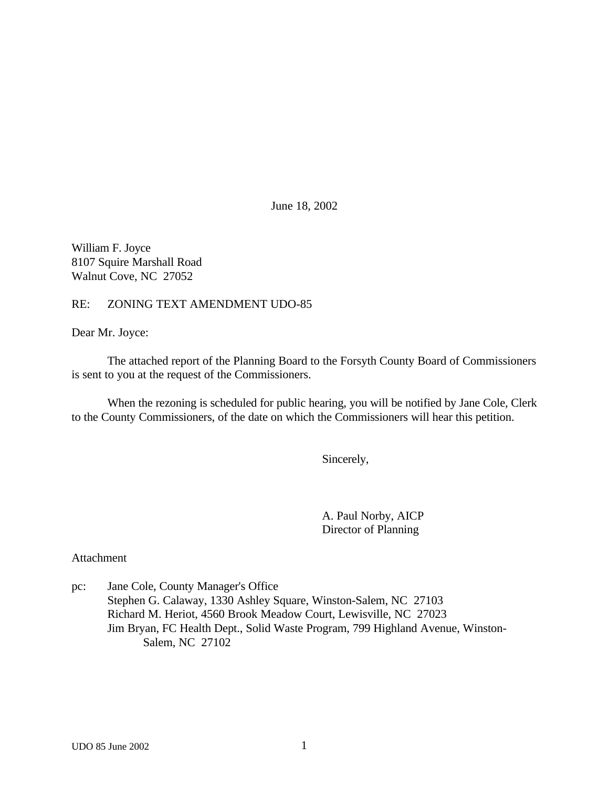June 18, 2002

William F. Joyce 8107 Squire Marshall Road Walnut Cove, NC 27052

RE: ZONING TEXT AMENDMENT UDO-85

Dear Mr. Joyce:

The attached report of the Planning Board to the Forsyth County Board of Commissioners is sent to you at the request of the Commissioners.

When the rezoning is scheduled for public hearing, you will be notified by Jane Cole, Clerk to the County Commissioners, of the date on which the Commissioners will hear this petition.

Sincerely,

A. Paul Norby, AICP Director of Planning

Attachment

pc: Jane Cole, County Manager's Office Stephen G. Calaway, 1330 Ashley Square, Winston-Salem, NC 27103 Richard M. Heriot, 4560 Brook Meadow Court, Lewisville, NC 27023 Jim Bryan, FC Health Dept., Solid Waste Program, 799 Highland Avenue, Winston-Salem, NC 27102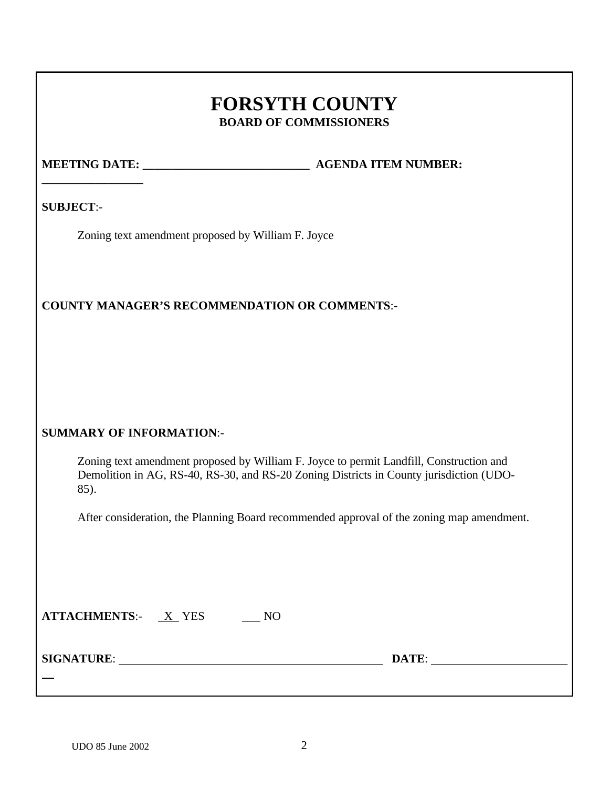# **FORSYTH COUNTY BOARD OF COMMISSIONERS**

**\_\_\_\_\_\_\_\_\_\_\_\_\_\_\_\_\_**

**MEETING DATE:**  $\qquad \qquad$  **AGENDA ITEM NUMBER:** 

**SUBJECT**:-

Zoning text amendment proposed by William F. Joyce

# **COUNTY MANAGER'S RECOMMENDATION OR COMMENTS**:-

# **SUMMARY OF INFORMATION**:-

Zoning text amendment proposed by William F. Joyce to permit Landfill, Construction and Demolition in AG, RS-40, RS-30, and RS-20 Zoning Districts in County jurisdiction (UDO-85).

After consideration, the Planning Board recommended approval of the zoning map amendment.

| <b>ATTACHMENTS:-</b> | X YES |  |
|----------------------|-------|--|
|----------------------|-------|--|

**SIGNATURE**: **DATE**:

 $\overline{a}$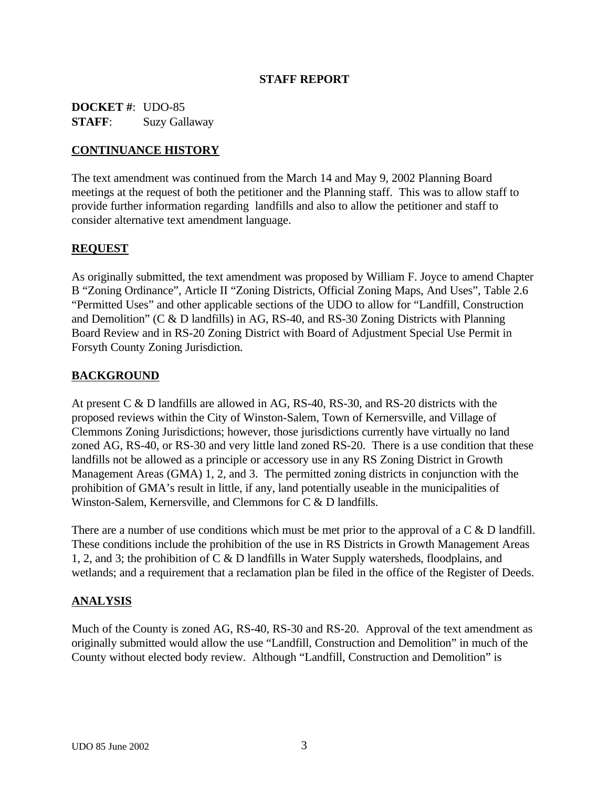### **STAFF REPORT**

**DOCKET #**: UDO-85 **STAFF**: Suzy Gallaway

## **CONTINUANCE HISTORY**

The text amendment was continued from the March 14 and May 9, 2002 Planning Board meetings at the request of both the petitioner and the Planning staff. This was to allow staff to provide further information regarding landfills and also to allow the petitioner and staff to consider alternative text amendment language.

### **REQUEST**

As originally submitted, the text amendment was proposed by William F. Joyce to amend Chapter B "Zoning Ordinance", Article II "Zoning Districts, Official Zoning Maps, And Uses", Table 2.6 "Permitted Uses" and other applicable sections of the UDO to allow for "Landfill, Construction and Demolition" (C & D landfills) in AG, RS-40, and RS-30 Zoning Districts with Planning Board Review and in RS-20 Zoning District with Board of Adjustment Special Use Permit in Forsyth County Zoning Jurisdiction.

# **BACKGROUND**

At present C & D landfills are allowed in AG, RS-40, RS-30, and RS-20 districts with the proposed reviews within the City of Winston-Salem, Town of Kernersville, and Village of Clemmons Zoning Jurisdictions; however, those jurisdictions currently have virtually no land zoned AG, RS-40, or RS-30 and very little land zoned RS-20. There is a use condition that these landfills not be allowed as a principle or accessory use in any RS Zoning District in Growth Management Areas (GMA) 1, 2, and 3. The permitted zoning districts in conjunction with the prohibition of GMA's result in little, if any, land potentially useable in the municipalities of Winston-Salem, Kernersville, and Clemmons for C & D landfills.

There are a number of use conditions which must be met prior to the approval of a C & D landfill. These conditions include the prohibition of the use in RS Districts in Growth Management Areas 1, 2, and 3; the prohibition of C & D landfills in Water Supply watersheds, floodplains, and wetlands; and a requirement that a reclamation plan be filed in the office of the Register of Deeds.

#### **ANALYSIS**

Much of the County is zoned AG, RS-40, RS-30 and RS-20. Approval of the text amendment as originally submitted would allow the use "Landfill, Construction and Demolition" in much of the County without elected body review. Although "Landfill, Construction and Demolition" is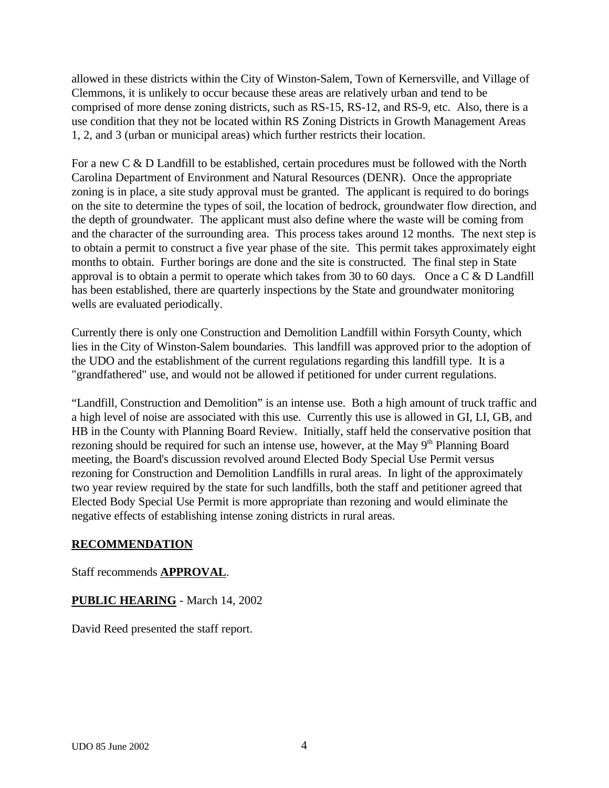allowed in these districts within the City of Winston-Salem, Town of Kernersville, and Village of Clemmons, it is unlikely to occur because these areas are relatively urban and tend to be comprised of more dense zoning districts, such as RS-15, RS-12, and RS-9, etc. Also, there is a use condition that they not be located within RS Zoning Districts in Growth Management Areas 1, 2, and 3 (urban or municipal areas) which further restricts their location.

For a new C & D Landfill to be established, certain procedures must be followed with the North Carolina Department of Environment and Natural Resources (DENR). Once the appropriate zoning is in place, a site study approval must be granted. The applicant is required to do borings on the site to determine the types of soil, the location of bedrock, groundwater flow direction, and the depth of groundwater. The applicant must also define where the waste will be coming from and the character of the surrounding area. This process takes around 12 months. The next step is to obtain a permit to construct a five year phase of the site. This permit takes approximately eight months to obtain. Further borings are done and the site is constructed. The final step in State approval is to obtain a permit to operate which takes from 30 to 60 days. Once a  $C & D$  Landfill has been established, there are quarterly inspections by the State and groundwater monitoring wells are evaluated periodically.

Currently there is only one Construction and Demolition Landfill within Forsyth County, which lies in the City of Winston-Salem boundaries. This landfill was approved prior to the adoption of the UDO and the establishment of the current regulations regarding this landfill type. It is a "grandfathered" use, and would not be allowed if petitioned for under current regulations.

"Landfill, Construction and Demolition" is an intense use. Both a high amount of truck traffic and a high level of noise are associated with this use. Currently this use is allowed in GI, LI, GB, and HB in the County with Planning Board Review. Initially, staff held the conservative position that rezoning should be required for such an intense use, however, at the May  $9<sup>th</sup>$  Planning Board meeting, the Board's discussion revolved around Elected Body Special Use Permit versus rezoning for Construction and Demolition Landfills in rural areas. In light of the approximately two year review required by the state for such landfills, both the staff and petitioner agreed that Elected Body Special Use Permit is more appropriate than rezoning and would eliminate the negative effects of establishing intense zoning districts in rural areas.

#### **RECOMMENDATION**

# Staff recommends **APPROVAL**.

# **PUBLIC HEARING** - March 14, 2002

David Reed presented the staff report.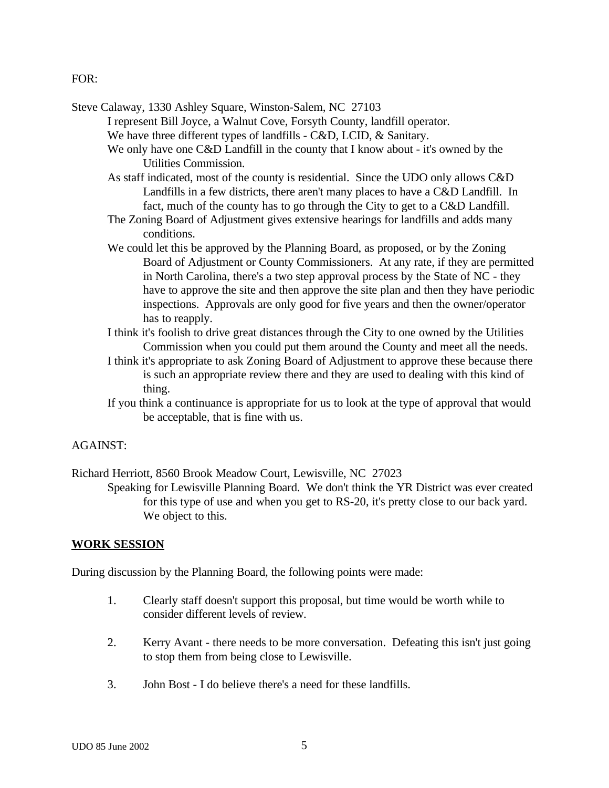FOR:

Steve Calaway, 1330 Ashley Square, Winston-Salem, NC 27103

I represent Bill Joyce, a Walnut Cove, Forsyth County, landfill operator.

- We have three different types of landfills C&D, LCID, & Sanitary.
- We only have one C&D Landfill in the county that I know about it's owned by the Utilities Commission.
- As staff indicated, most of the county is residential. Since the UDO only allows C&D Landfills in a few districts, there aren't many places to have a C&D Landfill. In fact, much of the county has to go through the City to get to a C&D Landfill.
- The Zoning Board of Adjustment gives extensive hearings for landfills and adds many conditions.
- We could let this be approved by the Planning Board, as proposed, or by the Zoning Board of Adjustment or County Commissioners. At any rate, if they are permitted in North Carolina, there's a two step approval process by the State of NC - they have to approve the site and then approve the site plan and then they have periodic inspections. Approvals are only good for five years and then the owner/operator has to reapply.
- I think it's foolish to drive great distances through the City to one owned by the Utilities Commission when you could put them around the County and meet all the needs.
- I think it's appropriate to ask Zoning Board of Adjustment to approve these because there is such an appropriate review there and they are used to dealing with this kind of thing.
- If you think a continuance is appropriate for us to look at the type of approval that would be acceptable, that is fine with us.

#### AGAINST:

Richard Herriott, 8560 Brook Meadow Court, Lewisville, NC 27023

Speaking for Lewisville Planning Board. We don't think the YR District was ever created for this type of use and when you get to RS-20, it's pretty close to our back yard. We object to this.

#### **WORK SESSION**

During discussion by the Planning Board, the following points were made:

- 1. Clearly staff doesn't support this proposal, but time would be worth while to consider different levels of review.
- 2. Kerry Avant there needs to be more conversation. Defeating this isn't just going to stop them from being close to Lewisville.
- 3. John Bost I do believe there's a need for these landfills.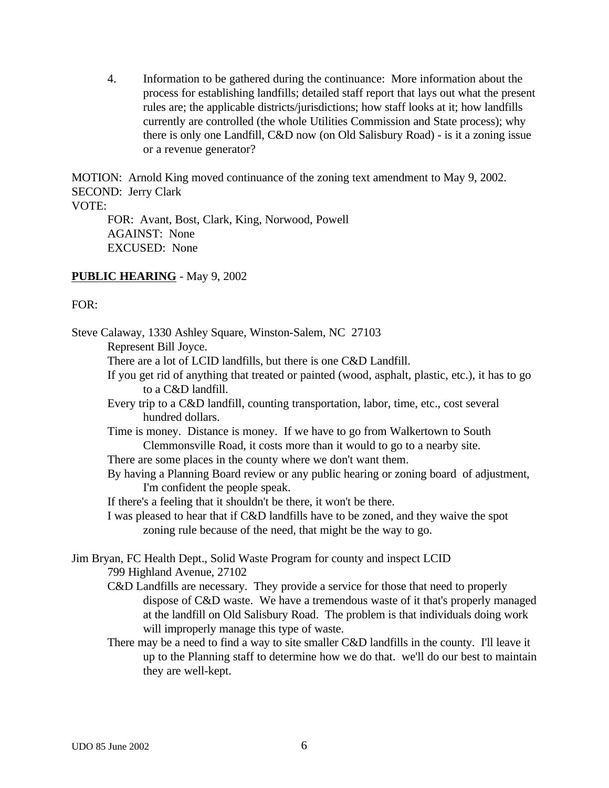4. Information to be gathered during the continuance: More information about the process for establishing landfills; detailed staff report that lays out what the present rules are; the applicable districts/jurisdictions; how staff looks at it; how landfills currently are controlled (the whole Utilities Commission and State process); why there is only one Landfill, C&D now (on Old Salisbury Road) - is it a zoning issue or a revenue generator?

MOTION: Arnold King moved continuance of the zoning text amendment to May 9, 2002. SECOND: Jerry Clark

#### VOTE:

FOR: Avant, Bost, Clark, King, Norwood, Powell AGAINST: None EXCUSED: None

### **PUBLIC HEARING** - May 9, 2002

### $FOR:$

Steve Calaway, 1330 Ashley Square, Winston-Salem, NC 27103 Represent Bill Joyce. There are a lot of LCID landfills, but there is one C&D Landfill. If you get rid of anything that treated or painted (wood, asphalt, plastic, etc.), it has to go to a C&D landfill. Every trip to a C&D landfill, counting transportation, labor, time, etc., cost several hundred dollars. Time is money. Distance is money. If we have to go from Walkertown to South Clemmonsville Road, it costs more than it would to go to a nearby site. There are some places in the county where we don't want them. By having a Planning Board review or any public hearing or zoning board of adjustment, I'm confident the people speak. If there's a feeling that it shouldn't be there, it won't be there. I was pleased to hear that if C&D landfills have to be zoned, and they waive the spot zoning rule because of the need, that might be the way to go. Jim Bryan, FC Health Dept., Solid Waste Program for county and inspect LCID 799 Highland Avenue, 27102 C&D Landfills are necessary. They provide a service for those that need to properly dispose of C&D waste. We have a tremendous waste of it that's properly managed at the landfill on Old Salisbury Road. The problem is that individuals doing work will improperly manage this type of waste. There may be a need to find a way to site smaller C&D landfills in the county. I'll leave it up to the Planning staff to determine how we do that. we'll do our best to maintain

they are well-kept.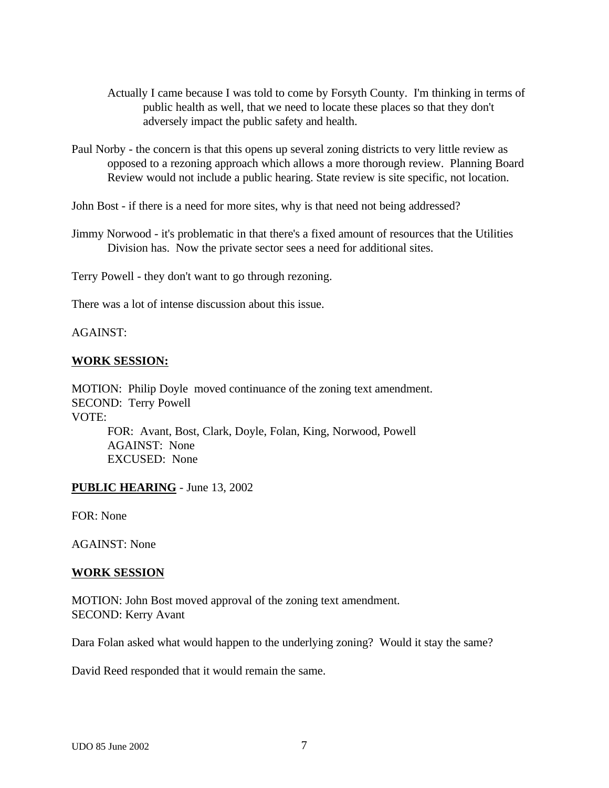- Actually I came because I was told to come by Forsyth County. I'm thinking in terms of public health as well, that we need to locate these places so that they don't adversely impact the public safety and health.
- Paul Norby the concern is that this opens up several zoning districts to very little review as opposed to a rezoning approach which allows a more thorough review. Planning Board Review would not include a public hearing. State review is site specific, not location.

John Bost - if there is a need for more sites, why is that need not being addressed?

Jimmy Norwood - it's problematic in that there's a fixed amount of resources that the Utilities Division has. Now the private sector sees a need for additional sites.

Terry Powell - they don't want to go through rezoning.

There was a lot of intense discussion about this issue.

AGAINST:

#### **WORK SESSION:**

MOTION: Philip Doyle moved continuance of the zoning text amendment. SECOND: Terry Powell VOTE: FOR: Avant, Bost, Clark, Doyle, Folan, King, Norwood, Powell AGAINST: None

EXCUSED: None

#### **PUBLIC HEARING** - June 13, 2002

FOR: None

AGAINST: None

#### **WORK SESSION**

MOTION: John Bost moved approval of the zoning text amendment. SECOND: Kerry Avant

Dara Folan asked what would happen to the underlying zoning? Would it stay the same?

David Reed responded that it would remain the same.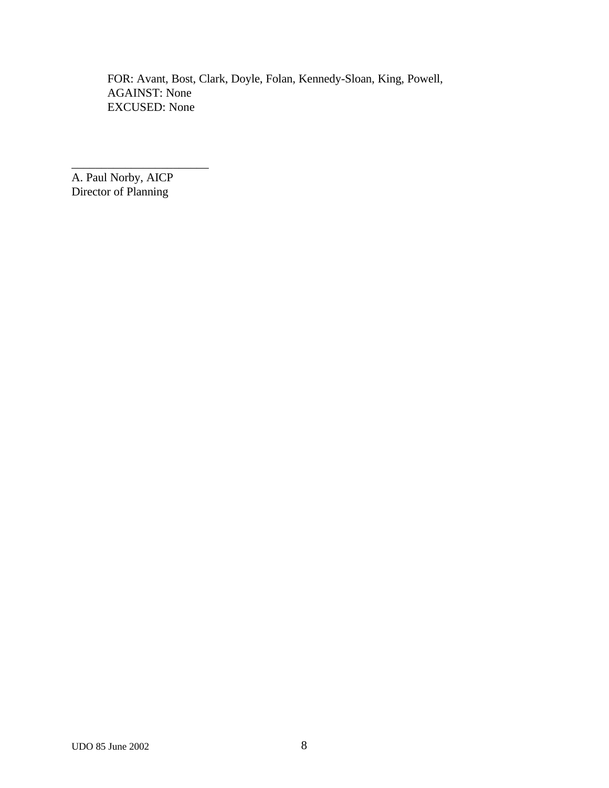FOR: Avant, Bost, Clark, Doyle, Folan, Kennedy-Sloan, King, Powell, AGAINST: None EXCUSED: None

A. Paul Norby, AICP Director of Planning

\_\_\_\_\_\_\_\_\_\_\_\_\_\_\_\_\_\_\_\_\_\_\_